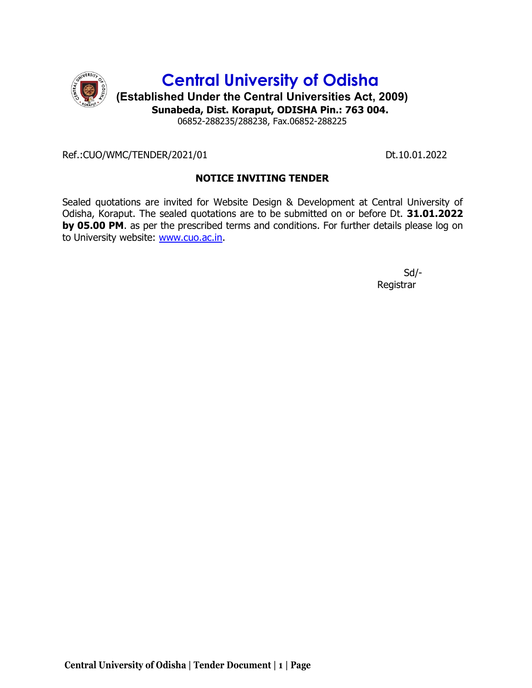

Ref.:CUO/WMC/TENDER/2021/01 Dt.10.01.2022

## NOTICE INVITING TENDER

Sealed quotations are invited for Website Design & Development at Central University of Odisha, Koraput. The sealed quotations are to be submitted on or before Dt. 31.01.2022 by 05.00 PM. as per the prescribed terms and conditions. For further details please log on to University website: www.cuo.ac.in.

 Sd/- Registrar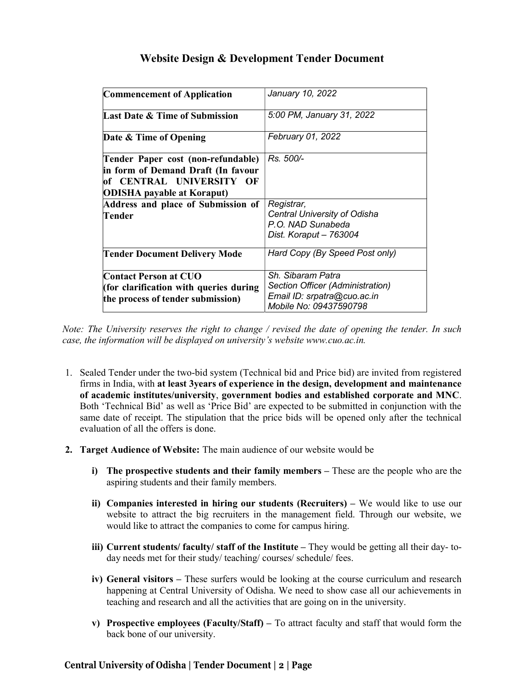# Website Design & Development Tender Document

| <b>Commencement of Application</b>                                                                                                        | January 10, 2022                                                                                               |
|-------------------------------------------------------------------------------------------------------------------------------------------|----------------------------------------------------------------------------------------------------------------|
| <b>Last Date &amp; Time of Submission</b>                                                                                                 | 5:00 PM, January 31, 2022                                                                                      |
| Date & Time of Opening                                                                                                                    | <b>February 01, 2022</b>                                                                                       |
| Tender Paper cost (non-refundable)<br>in form of Demand Draft (In favour<br>of CENTRAL UNIVERSITY OF<br><b>ODISHA</b> payable at Koraput) | Rs. 500/-                                                                                                      |
| Address and place of Submission of<br>Tender                                                                                              | Registrar,<br>Central University of Odisha<br>P.O. NAD Sunabeda<br>Dist. Koraput - 763004                      |
| <b>Tender Document Delivery Mode</b>                                                                                                      | Hard Copy (By Speed Post only)                                                                                 |
| <b>Contact Person at CUO</b><br>(for clarification with queries during<br>the process of tender submission)                               | Sh. Sibaram Patra<br>Section Officer (Administration)<br>Email ID: srpatra@cuo.ac.in<br>Mobile No: 09437590798 |

Note: The University reserves the right to change / revised the date of opening the tender. In such case, the information will be displayed on university's website www.cuo.ac.in.

- 1. Sealed Tender under the two-bid system (Technical bid and Price bid) are invited from registered firms in India, with at least 3years of experience in the design, development and maintenance of academic institutes/university, government bodies and established corporate and MNC. Both 'Technical Bid' as well as 'Price Bid' are expected to be submitted in conjunction with the same date of receipt. The stipulation that the price bids will be opened only after the technical evaluation of all the offers is done.
- 2. Target Audience of Website: The main audience of our website would be
	- i) The prospective students and their family members These are the people who are the aspiring students and their family members.
	- ii) Companies interested in hiring our students (Recruiters) We would like to use our website to attract the big recruiters in the management field. Through our website, we would like to attract the companies to come for campus hiring.
	- iii) Current students/ faculty/ staff of the Institute They would be getting all their day-today needs met for their study/ teaching/ courses/ schedule/ fees.
	- iv) General visitors These surfers would be looking at the course curriculum and research happening at Central University of Odisha. We need to show case all our achievements in teaching and research and all the activities that are going on in the university.
	- v) Prospective employees (Faculty/Staff) To attract faculty and staff that would form the back bone of our university.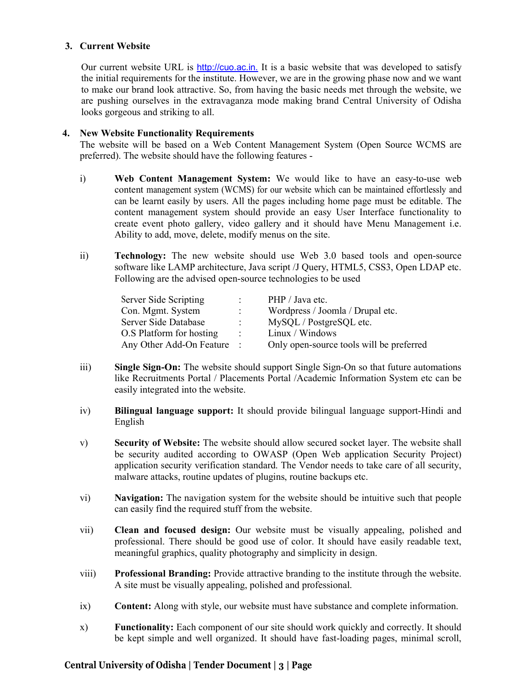#### 3. Current Website

Our current website URL is http://cuo.ac.in. It is a basic website that was developed to satisfy the initial requirements for the institute. However, we are in the growing phase now and we want to make our brand look attractive. So, from having the basic needs met through the website, we are pushing ourselves in the extravaganza mode making brand Central University of Odisha looks gorgeous and striking to all.

#### 4. New Website Functionality Requirements

The website will be based on a Web Content Management System (Open Source WCMS are preferred). The website should have the following features -

- i) Web Content Management System: We would like to have an easy-to-use web content management system (WCMS) for our website which can be maintained effortlessly and can be learnt easily by users. All the pages including home page must be editable. The content management system should provide an easy User Interface functionality to create event photo gallery, video gallery and it should have Menu Management i.e. Ability to add, move, delete, modify menus on the site.
- ii) Technology: The new website should use Web 3.0 based tools and open-source software like LAMP architecture, Java script /J Query, HTML5, CSS3, Open LDAP etc. Following are the advised open-source technologies to be used

| Server Side Scripting      |                   | PHP / Java etc.                          |
|----------------------------|-------------------|------------------------------------------|
| Con. Mgmt. System          |                   | Wordpress / Joomla / Drupal etc.         |
| Server Side Database       | $\mathcal{L}$     | MySQL / PostgreSQL etc.                  |
| O.S Platform for hosting   | $\sim$ 100 $\sim$ | Linux / Windows                          |
| Any Other Add-On Feature : |                   | Only open-source tools will be preferred |

- iii) Single Sign-On: The website should support Single Sign-On so that future automations like Recruitments Portal / Placements Portal /Academic Information System etc can be easily integrated into the website.
- iv) Bilingual language support: It should provide bilingual language support-Hindi and English
- v) Security of Website: The website should allow secured socket layer. The website shall be security audited according to OWASP (Open Web application Security Project) application security verification standard. The Vendor needs to take care of all security, malware attacks, routine updates of plugins, routine backups etc.
- vi) Navigation: The navigation system for the website should be intuitive such that people can easily find the required stuff from the website.
- vii) Clean and focused design: Our website must be visually appealing, polished and professional. There should be good use of color. It should have easily readable text, meaningful graphics, quality photography and simplicity in design.
- viii) Professional Branding: Provide attractive branding to the institute through the website. A site must be visually appealing, polished and professional.
- ix) Content: Along with style, our website must have substance and complete information.
- x) Functionality: Each component of our site should work quickly and correctly. It should be kept simple and well organized. It should have fast-loading pages, minimal scroll,

## Central University of Odisha | Tender Document | 3 | Page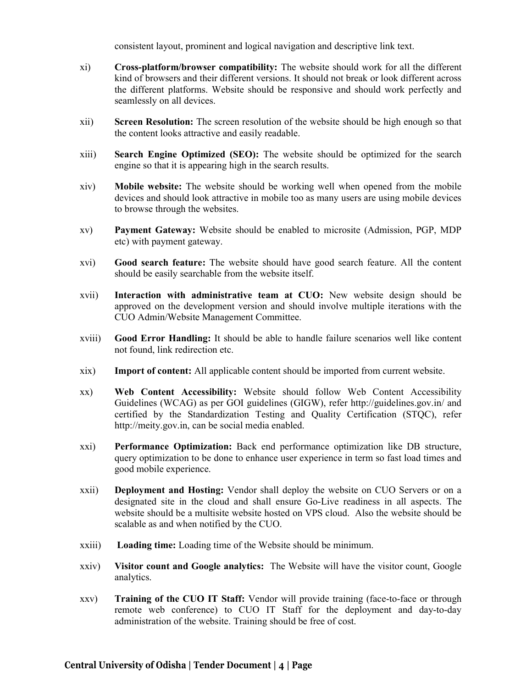consistent layout, prominent and logical navigation and descriptive link text.

- xi) Cross-platform/browser compatibility: The website should work for all the different kind of browsers and their different versions. It should not break or look different across the different platforms. Website should be responsive and should work perfectly and seamlessly on all devices.
- xii) Screen Resolution: The screen resolution of the website should be high enough so that the content looks attractive and easily readable.
- xiii) Search Engine Optimized (SEO): The website should be optimized for the search engine so that it is appearing high in the search results.
- xiv) Mobile website: The website should be working well when opened from the mobile devices and should look attractive in mobile too as many users are using mobile devices to browse through the websites.
- xv) Payment Gateway: Website should be enabled to microsite (Admission, PGP, MDP etc) with payment gateway.
- xvi) Good search feature: The website should have good search feature. All the content should be easily searchable from the website itself.
- xvii) Interaction with administrative team at CUO: New website design should be approved on the development version and should involve multiple iterations with the CUO Admin/Website Management Committee.
- xviii) Good Error Handling: It should be able to handle failure scenarios well like content not found, link redirection etc.
- xix) Import of content: All applicable content should be imported from current website.
- xx) Web Content Accessibility: Website should follow Web Content Accessibility Guidelines (WCAG) as per GOI guidelines (GIGW), refer http://guidelines.gov.in/ and certified by the Standardization Testing and Quality Certification (STQC), refer http://meity.gov.in, can be social media enabled.
- xxi) Performance Optimization: Back end performance optimization like DB structure, query optimization to be done to enhance user experience in term so fast load times and good mobile experience.
- xxii) Deployment and Hosting: Vendor shall deploy the website on CUO Servers or on a designated site in the cloud and shall ensure Go-Live readiness in all aspects. The website should be a multisite website hosted on VPS cloud. Also the website should be scalable as and when notified by the CUO.
- xxiii) Loading time: Loading time of the Website should be minimum.
- xxiv) Visitor count and Google analytics: The Website will have the visitor count, Google analytics.
- xxv) **Training of the CUO IT Staff:** Vendor will provide training (face-to-face or through remote web conference) to CUO IT Staff for the deployment and day-to-day administration of the website. Training should be free of cost.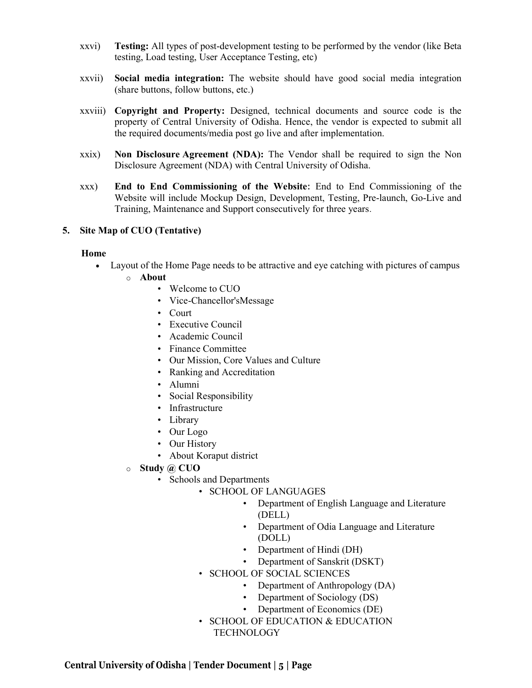- xxvi) Testing: All types of post-development testing to be performed by the vendor (like Beta testing, Load testing, User Acceptance Testing, etc)
- xxvii) Social media integration: The website should have good social media integration (share buttons, follow buttons, etc.)
- xxviii) Copyright and Property: Designed, technical documents and source code is the property of Central University of Odisha. Hence, the vendor is expected to submit all the required documents/media post go live and after implementation.
- xxix) Non Disclosure Agreement (NDA): The Vendor shall be required to sign the Non Disclosure Agreement (NDA) with Central University of Odisha.
- xxx) End to End Commissioning of the Website: End to End Commissioning of the Website will include Mockup Design, Development, Testing, Pre-launch, Go-Live and Training, Maintenance and Support consecutively for three years.

#### 5. Site Map of CUO (Tentative)

#### Home

- Layout of the Home Page needs to be attractive and eye catching with pictures of campus
	- o About
		- Welcome to CUO
		- Vice-Chancellor'sMessage
		- Court
		- Executive Council
		- Academic Council
		- Finance Committee
		- Our Mission, Core Values and Culture
		- Ranking and Accreditation
		- Alumni
		- Social Responsibility
		- Infrastructure
		- Library
		- Our Logo
		- Our History
		- About Koraput district
	- o Study @ CUO
		- Schools and Departments
			- SCHOOL OF LANGUAGES
				- Department of English Language and Literature (DELL)
				- Department of Odia Language and Literature (DOLL)
				- Department of Hindi (DH)
				- Department of Sanskrit (DSKT)
			- SCHOOL OF SOCIAL SCIENCES
				- Department of Anthropology (DA)
				- Department of Sociology (DS)
				- Department of Economics (DE)
			- SCHOOL OF EDUCATION & EDUCATION TECHNOLOGY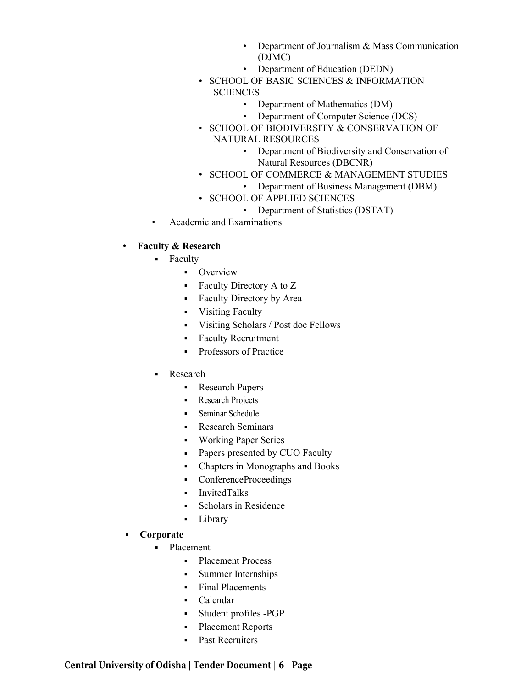- Department of Journalism & Mass Communication (DJMC)
- Department of Education (DEDN)
- SCHOOL OF BASIC SCIENCES & INFORMATION **SCIENCES** 
	- Department of Mathematics (DM)
	- Department of Computer Science (DCS)
- SCHOOL OF BIODIVERSITY & CONSERVATION OF NATURAL RESOURCES
	- Department of Biodiversity and Conservation of Natural Resources (DBCNR)
- SCHOOL OF COMMERCE & MANAGEMENT STUDIES
	- Department of Business Management (DBM)
- SCHOOL OF APPLIED SCIENCES
	- Department of Statistics (DSTAT)
- Academic and Examinations

#### • Faculty & Research

- **Faculty** 
	- **•** Overview
	- Faculty Directory A to Z
	- Faculty Directory by Area
	- Visiting Faculty
	- Visiting Scholars / Post doc Fellows
	- Faculty Recruitment
	- **Professors of Practice**
- Research
	- **Research Papers**
	- Research Projects
	- Seminar Schedule
	- Research Seminars
	- Working Paper Series
	- Papers presented by CUO Faculty
	- Chapters in Monographs and Books
	- ConferenceProceedings
	- InvitedTalks
	- Scholars in Residence
	- Library
- Corporate
	- Placement
		- Placement Process
		- Summer Internships
		- Final Placements
		- Calendar
		- Student profiles -PGP
		- Placement Reports
		- Past Recruiters

## Central University of Odisha | Tender Document | 6 | Page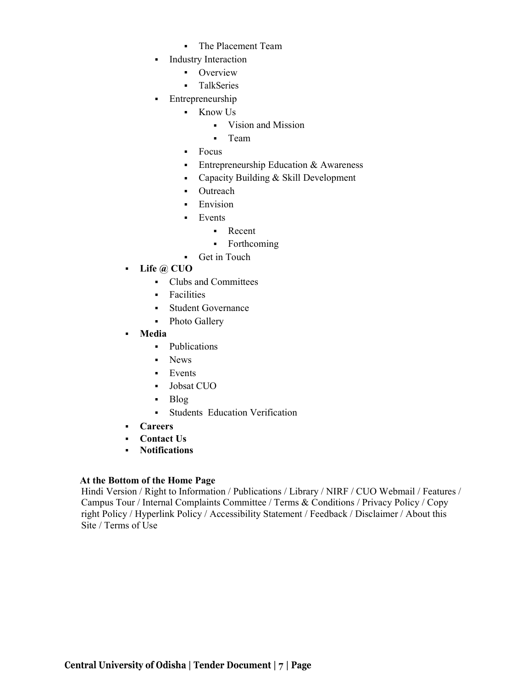- The Placement Team
- **Industry Interaction** 
	- **•** Overview
	- **TalkSeries**
- Entrepreneurship
	- Know Us
		- Vision and Mission
		- **-** Team
	- Focus
	- **Entrepreneurship Education & Awareness**
	- Capacity Building & Skill Development
	- Outreach
	- **Envision**
	- **Events** 
		- Recent
		- Forthcoming
	- Get in Touch
- Life  $\omega$  CUO
	- Clubs and Committees
	- **Facilities**
	- Student Governance
	- Photo Gallery
- Media
	- Publications
	- News
	- **Events**
	- Jobsat CUO
	- Blog
		- Students Education Verification
- Careers
- Contact Us
- Notifications

## At the Bottom of the Home Page

Hindi Version / Right to Information / Publications / Library / NIRF / CUO Webmail / Features / Campus Tour / Internal Complaints Committee / Terms & Conditions / Privacy Policy / Copy right Policy / Hyperlink Policy / Accessibility Statement / Feedback / Disclaimer / About this Site / Terms of Use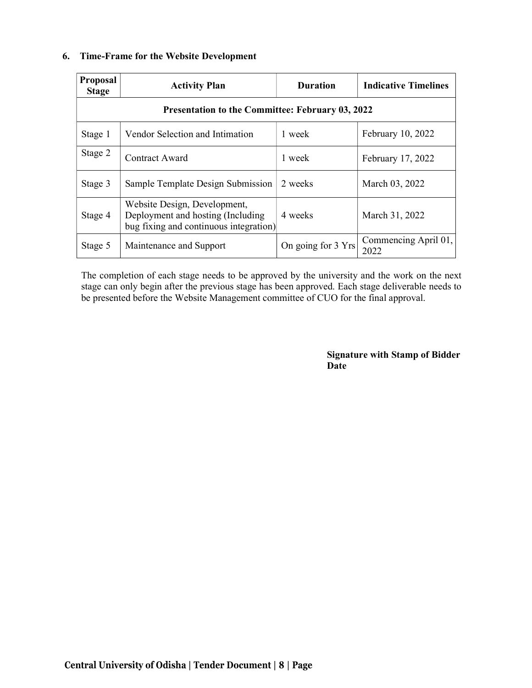#### 6. Time-Frame for the Website Development

| <b>Proposal</b><br><b>Stage</b> | <b>Activity Plan</b>                                                                                        | <b>Duration</b>    | <b>Indicative Timelines</b>  |  |  |  |
|---------------------------------|-------------------------------------------------------------------------------------------------------------|--------------------|------------------------------|--|--|--|
|                                 | <b>Presentation to the Committee: February 03, 2022</b>                                                     |                    |                              |  |  |  |
| Stage 1                         | Vendor Selection and Intimation                                                                             | 1 week             | February 10, 2022            |  |  |  |
| Stage 2                         | Contract Award                                                                                              | 1 week             | February 17, 2022            |  |  |  |
| Stage 3                         | Sample Template Design Submission                                                                           | 2 weeks            | March 03, 2022               |  |  |  |
| Stage 4                         | Website Design, Development,<br>Deployment and hosting (Including<br>bug fixing and continuous integration) | 4 weeks            | March 31, 2022               |  |  |  |
| Stage 5                         | Maintenance and Support                                                                                     | On going for 3 Yrs | Commencing April 01,<br>2022 |  |  |  |

The completion of each stage needs to be approved by the university and the work on the next stage can only begin after the previous stage has been approved. Each stage deliverable needs to be presented before the Website Management committee of CUO for the final approval.

> Signature with Stamp of Bidder Date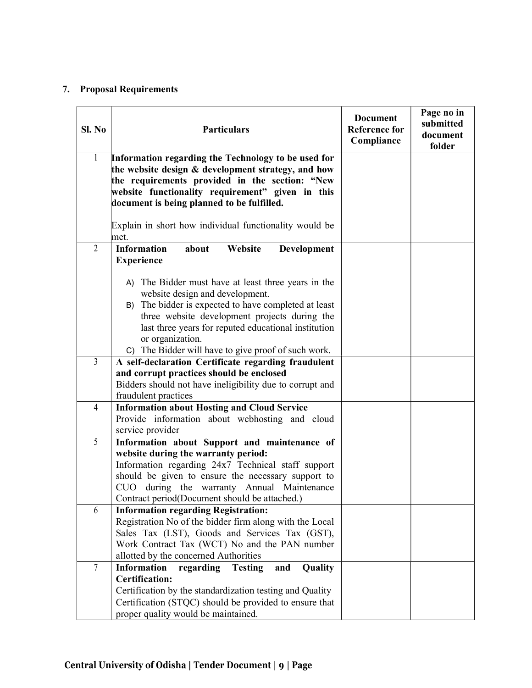# 7. Proposal Requirements

| Sl. No         | <b>Particulars</b>                                                                                                                                                                                                                                                                                                                 | <b>Document</b><br><b>Reference for</b><br>Compliance | Page no in<br>submitted<br>document<br>folder |
|----------------|------------------------------------------------------------------------------------------------------------------------------------------------------------------------------------------------------------------------------------------------------------------------------------------------------------------------------------|-------------------------------------------------------|-----------------------------------------------|
| 1              | Information regarding the Technology to be used for<br>the website design & development strategy, and how<br>the requirements provided in the section: "New<br>website functionality requirement" given in this<br>document is being planned to be fulfilled.<br>Explain in short how individual functionality would be            |                                                       |                                               |
|                | met.                                                                                                                                                                                                                                                                                                                               |                                                       |                                               |
| $\overline{2}$ | <b>Information</b><br>Website<br>about<br>Development<br><b>Experience</b>                                                                                                                                                                                                                                                         |                                                       |                                               |
|                | A) The Bidder must have at least three years in the<br>website design and development.<br>B) The bidder is expected to have completed at least<br>three website development projects during the<br>last three years for reputed educational institution<br>or organization.<br>C) The Bidder will have to give proof of such work. |                                                       |                                               |
| 3              | A self-declaration Certificate regarding fraudulent<br>and corrupt practices should be enclosed<br>Bidders should not have ineligibility due to corrupt and<br>fraudulent practices                                                                                                                                                |                                                       |                                               |
| $\overline{4}$ | <b>Information about Hosting and Cloud Service</b><br>Provide information about webhosting and cloud<br>service provider                                                                                                                                                                                                           |                                                       |                                               |
| 5              | Information about Support and maintenance of<br>website during the warranty period:<br>Information regarding 24x7 Technical staff support<br>should be given to ensure the necessary support to<br>CUO during the warranty Annual Maintenance<br>Contract period(Document should be attached.)                                     |                                                       |                                               |
| 6              | <b>Information regarding Registration:</b><br>Registration No of the bidder firm along with the Local<br>Sales Tax (LST), Goods and Services Tax (GST),<br>Work Contract Tax (WCT) No and the PAN number<br>allotted by the concerned Authorities                                                                                  |                                                       |                                               |
| $\overline{7}$ | <b>Information</b><br>regarding<br><b>Testing</b><br>Quality<br>and<br><b>Certification:</b><br>Certification by the standardization testing and Quality<br>Certification (STQC) should be provided to ensure that<br>proper quality would be maintained.                                                                          |                                                       |                                               |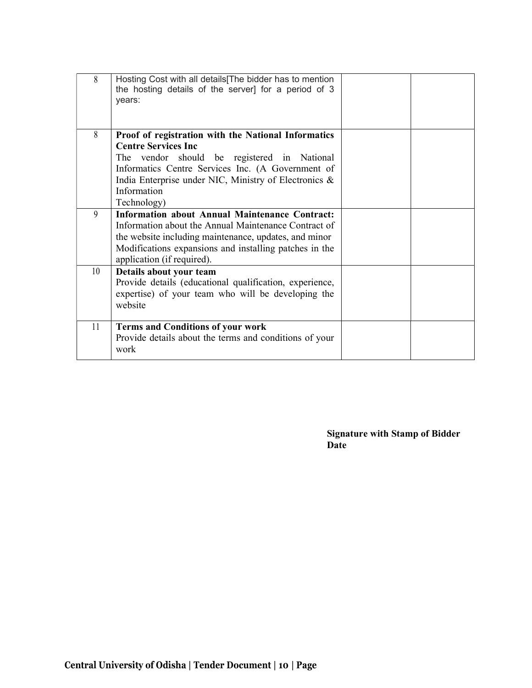| 8  | Hosting Cost with all details The bidder has to mention<br>the hosting details of the server] for a period of 3<br>years:                                                                                                                                                    |  |
|----|------------------------------------------------------------------------------------------------------------------------------------------------------------------------------------------------------------------------------------------------------------------------------|--|
| 8  | Proof of registration with the National Informatics<br><b>Centre Services Inc</b><br>The vendor should be registered in National<br>Informatics Centre Services Inc. (A Government of<br>India Enterprise under NIC, Ministry of Electronics &<br>Information<br>Technology) |  |
| 9  | <b>Information about Annual Maintenance Contract:</b><br>Information about the Annual Maintenance Contract of<br>the website including maintenance, updates, and minor<br>Modifications expansions and installing patches in the<br>application (if required).               |  |
| 10 | Details about your team<br>Provide details (educational qualification, experience,<br>expertise) of your team who will be developing the<br>website                                                                                                                          |  |
| 11 | <b>Terms and Conditions of your work</b><br>Provide details about the terms and conditions of your<br>work                                                                                                                                                                   |  |

Signature with Stamp of Bidder Date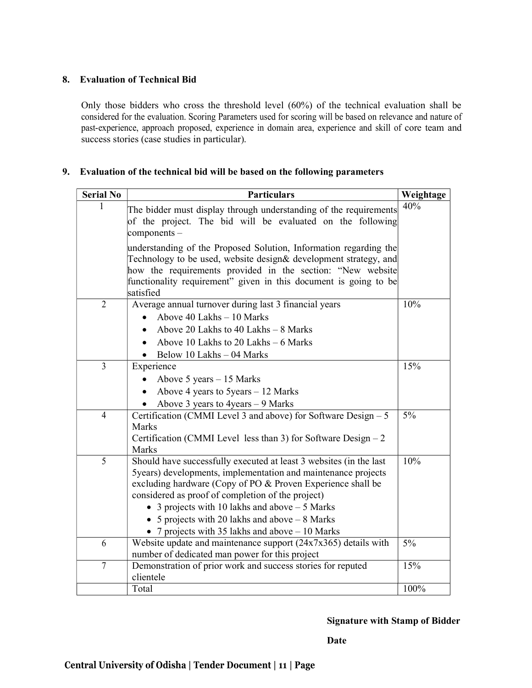## 8. Evaluation of Technical Bid

Only those bidders who cross the threshold level (60%) of the technical evaluation shall be considered for the evaluation. Scoring Parameters used for scoring will be based on relevance and nature of past-experience, approach proposed, experience in domain area, experience and skill of core team and success stories (case studies in particular).

#### 9. Evaluation of the technical bid will be based on the following parameters

| <b>Serial No</b> | <b>Particulars</b>                                                                                                                                                                                                                                                                                                                                                                                                |       |  |
|------------------|-------------------------------------------------------------------------------------------------------------------------------------------------------------------------------------------------------------------------------------------------------------------------------------------------------------------------------------------------------------------------------------------------------------------|-------|--|
|                  | The bidder must display through understanding of the requirements<br>of the project. The bid will be evaluated on the following<br>$\alpha$ components –                                                                                                                                                                                                                                                          | 40%   |  |
|                  | understanding of the Proposed Solution, Information regarding the<br>Technology to be used, website design& development strategy, and<br>how the requirements provided in the section: "New website<br>functionality requirement" given in this document is going to be<br>satisfied                                                                                                                              |       |  |
| $\overline{2}$   | Average annual turnover during last 3 financial years<br>Above 40 Lakhs - 10 Marks<br>Above 20 Lakhs to 40 Lakhs - 8 Marks<br>Above 10 Lakhs to 20 Lakhs - 6 Marks<br>Below 10 Lakhs - 04 Marks                                                                                                                                                                                                                   | 10%   |  |
| $\overline{3}$   | Experience<br>Above $5$ years $-15$ Marks<br>Above 4 years to $5$ years $-12$ Marks<br>Above 3 years to $4$ years $-9$ Marks                                                                                                                                                                                                                                                                                      | 15%   |  |
| $\overline{4}$   | Certification (CMMI Level 3 and above) for Software Design $-5$<br>Marks<br>Certification (CMMI Level less than 3) for Software Design $-2$<br><b>Marks</b>                                                                                                                                                                                                                                                       | $5\%$ |  |
| 5                | Should have successfully executed at least 3 websites (in the last<br>5years) developments, implementation and maintenance projects<br>excluding hardware (Copy of PO & Proven Experience shall be<br>considered as proof of completion of the project)<br>• 3 projects with 10 lakhs and above $-5$ Marks<br>• 5 projects with 20 lakhs and above $-8$ Marks<br>• 7 projects with 35 lakhs and above $-10$ Marks | 10%   |  |
| 6                | Website update and maintenance support $(24x7x365)$ details with<br>number of dedicated man power for this project                                                                                                                                                                                                                                                                                                | $5\%$ |  |
| $\overline{7}$   | Demonstration of prior work and success stories for reputed<br>clientele                                                                                                                                                                                                                                                                                                                                          | 15%   |  |
|                  | Total                                                                                                                                                                                                                                                                                                                                                                                                             | 100%  |  |

#### Signature with Stamp of Bidder

Date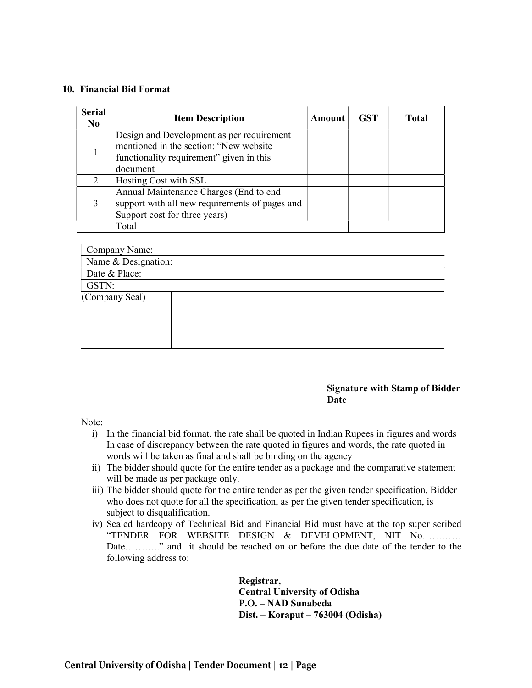#### 10. Financial Bid Format

| <b>Serial</b><br>N <sub>0</sub> | <b>Item Description</b>                        | <b>Amount</b> | <b>GST</b> | <b>Total</b> |
|---------------------------------|------------------------------------------------|---------------|------------|--------------|
|                                 | Design and Development as per requirement      |               |            |              |
|                                 | mentioned in the section: "New website         |               |            |              |
|                                 | functionality requirement" given in this       |               |            |              |
|                                 | document                                       |               |            |              |
|                                 | Hosting Cost with SSL                          |               |            |              |
|                                 | Annual Maintenance Charges (End to end         |               |            |              |
|                                 | support with all new requirements of pages and |               |            |              |
|                                 | Support cost for three years)                  |               |            |              |
|                                 | Total                                          |               |            |              |

| Company Name:       |  |
|---------------------|--|
| Name & Designation: |  |
| Date & Place:       |  |
| GSTN:               |  |
| (Company Seal)      |  |
|                     |  |
|                     |  |
|                     |  |
|                     |  |

#### Signature with Stamp of Bidder Date

Note:

- i) In the financial bid format, the rate shall be quoted in Indian Rupees in figures and words In case of discrepancy between the rate quoted in figures and words, the rate quoted in words will be taken as final and shall be binding on the agency
- ii) The bidder should quote for the entire tender as a package and the comparative statement will be made as per package only.
- iii) The bidder should quote for the entire tender as per the given tender specification. Bidder who does not quote for all the specification, as per the given tender specification, is subject to disqualification.
- iv) Sealed hardcopy of Technical Bid and Financial Bid must have at the top super scribed "TENDER FOR WEBSITE DESIGN & DEVELOPMENT, NIT No………… Date……….." and it should be reached on or before the due date of the tender to the following address to:

Registrar, Central University of Odisha P.O. – NAD Sunabeda Dist. – Koraput – 763004 (Odisha)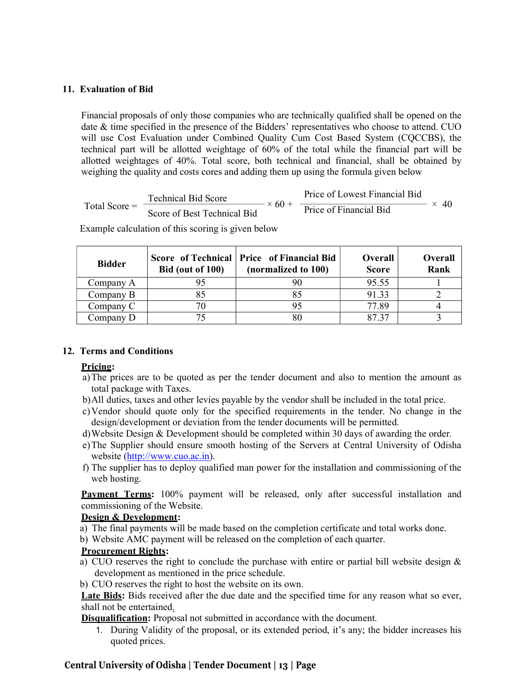#### 11. Evaluation of Bid

Financial proposals of only those companies who are technically qualified shall be opened on the date & time specified in the presence of the Bidders' representatives who choose to attend. CUO will use Cost Evaluation under Combined Quality Cum Cost Based System (CQCCBS), the technical part will be allotted weightage of 60% of the total while the financial part will be allotted weightages of 40%. Total score, both technical and financial, shall be obtained by weighing the quality and costs cores and adding them up using the formula given below

Total Score = 
$$
\frac{\text{Technical Bid Score}}{\text{Score of Best Technical Bid}} \times 60 + \frac{\text{Price of lowest Financial Bid}}{\text{Price of Financial Bid}} \times 40
$$

Example calculation of this scoring is given below

| <b>Bidder</b> | Bid (out of 100) | Score of Technical   Price of Financial Bid<br>(normalized to 100) | <b>Overall</b><br><b>Score</b> | Overall<br>Rank |
|---------------|------------------|--------------------------------------------------------------------|--------------------------------|-----------------|
| Company A     |                  |                                                                    | 95.55                          |                 |
| Company B     |                  |                                                                    | 91.33                          |                 |
| Company C     |                  |                                                                    | 77.89                          |                 |
| Company D     |                  | 80                                                                 | 87 37                          |                 |

## 12. Terms and Conditions

#### Pricing:

- a)The prices are to be quoted as per the tender document and also to mention the amount as total package with Taxes.
- b)All duties, taxes and other levies payable by the vendor shall be included in the total price.
- c)Vendor should quote only for the specified requirements in the tender. No change in the design/development or deviation from the tender documents will be permitted.
- d)Website Design & Development should be completed within 30 days of awarding the order.
- e)The Supplier should ensure smooth hosting of the Servers at Central University of Odisha website (http://www.cuo.ac.in).
- f) The supplier has to deploy qualified man power for the installation and commissioning of the web hosting.

Payment Terms: 100% payment will be released, only after successful installation and commissioning of the Website.

## Design & Development:

- a) The final payments will be made based on the completion certificate and total works done.
- b) Website AMC payment will be released on the completion of each quarter.

## Procurement Rights:

- a) CUO reserves the right to conclude the purchase with entire or partial bill website design  $\&$ development as mentioned in the price schedule.
- b) CUO reserves the right to host the website on its own.

Late Bids: Bids received after the due date and the specified time for any reason what so ever, shall not be entertained.

Disqualification: Proposal not submitted in accordance with the document.

1. During Validity of the proposal, or its extended period, it's any; the bidder increases his quoted prices.

## Central University of Odisha | Tender Document | 13 | Page